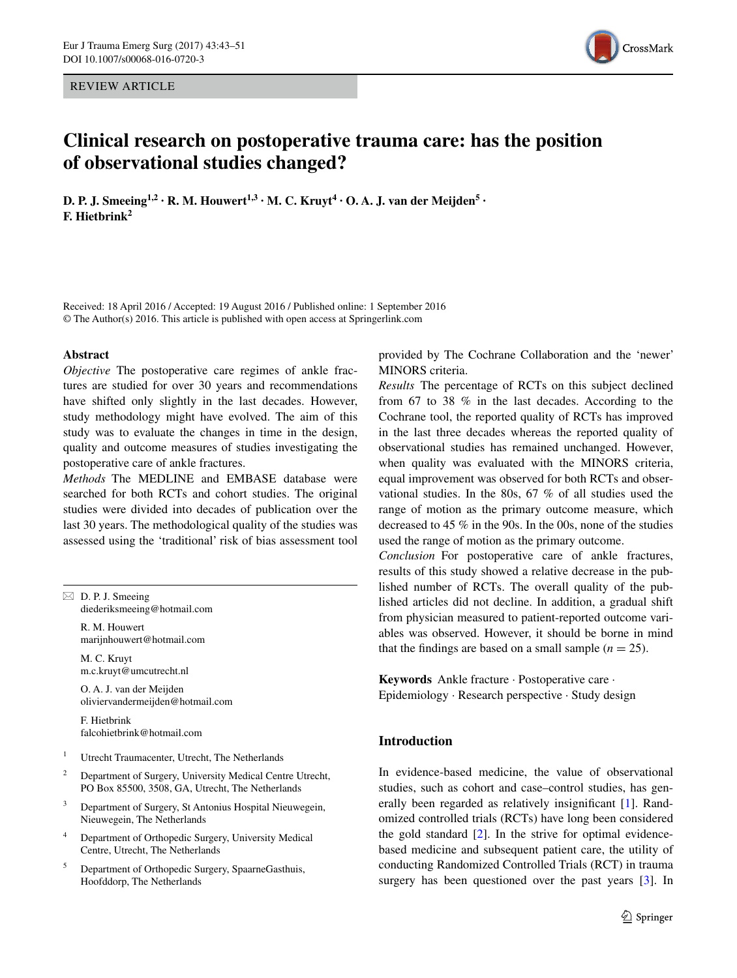REVIEW ARTICLE



# **Clinical research on postoperative trauma care: has the position of observational studies changed?**

**D. P. J. Smeeing**<sup>1,2</sup> **· R. M. Houwert**<sup>1,3</sup> **· M. C. Kruyt<sup>4</sup> · O. A. J.** van der Meijden<sup>5</sup> · **F. Hietbrink<sup>2</sup>**

Received: 18 April 2016 / Accepted: 19 August 2016 / Published online: 1 September 2016 © The Author(s) 2016. This article is published with open access at Springerlink.com

### **Abstract**

*Objective* The postoperative care regimes of ankle fractures are studied for over 30 years and recommendations have shifted only slightly in the last decades. However, study methodology might have evolved. The aim of this study was to evaluate the changes in time in the design, quality and outcome measures of studies investigating the postoperative care of ankle fractures.

*Methods* The MEDLINE and EMBASE database were searched for both RCTs and cohort studies. The original studies were divided into decades of publication over the last 30 years. The methodological quality of the studies was assessed using the 'traditional' risk of bias assessment tool

R. M. Houwert marijnhouwert@hotmail.com

M. C. Kruyt m.c.kruyt@umcutrecht.nl

O. A. J. van der Meijden oliviervandermeijden@hotmail.com

F. Hietbrink falcohietbrink@hotmail.com

- Utrecht Traumacenter, Utrecht, The Netherlands
- <sup>2</sup> Department of Surgery, University Medical Centre Utrecht, PO Box 85500, 3508, GA, Utrecht, The Netherlands
- <sup>3</sup> Department of Surgery, St Antonius Hospital Nieuwegein, Nieuwegein, The Netherlands
- <sup>4</sup> Department of Orthopedic Surgery, University Medical Centre, Utrecht, The Netherlands
- <sup>5</sup> Department of Orthopedic Surgery, SpaarneGasthuis, Hoofddorp, The Netherlands

provided by The Cochrane Collaboration and the 'newer' MINORS criteria.

*Results* The percentage of RCTs on this subject declined from 67 to 38 % in the last decades. According to the Cochrane tool, the reported quality of RCTs has improved in the last three decades whereas the reported quality of observational studies has remained unchanged. However, when quality was evaluated with the MINORS criteria, equal improvement was observed for both RCTs and observational studies. In the 80s, 67 % of all studies used the range of motion as the primary outcome measure, which decreased to 45 % in the 90s. In the 00s, none of the studies used the range of motion as the primary outcome.

*Conclusion* For postoperative care of ankle fractures, results of this study showed a relative decrease in the published number of RCTs. The overall quality of the published articles did not decline. In addition, a gradual shift from physician measured to patient-reported outcome variables was observed. However, it should be borne in mind that the findings are based on a small sample  $(n = 25)$ .

**Keywords** Ankle fracture · Postoperative care · Epidemiology · Research perspective · Study design

## **Introduction**

In evidence-based medicine, the value of observational studies, such as cohort and case–control studies, has generally been regarded as relatively insignificant [[1\]](#page-6-0). Randomized controlled trials (RCTs) have long been considered the gold standard [[2\]](#page-6-1). In the strive for optimal evidencebased medicine and subsequent patient care, the utility of conducting Randomized Controlled Trials (RCT) in trauma surgery has been questioned over the past years [\[3](#page-7-0)]. In

 $\boxtimes$  D. P. J. Smeeing diederiksmeeing@hotmail.com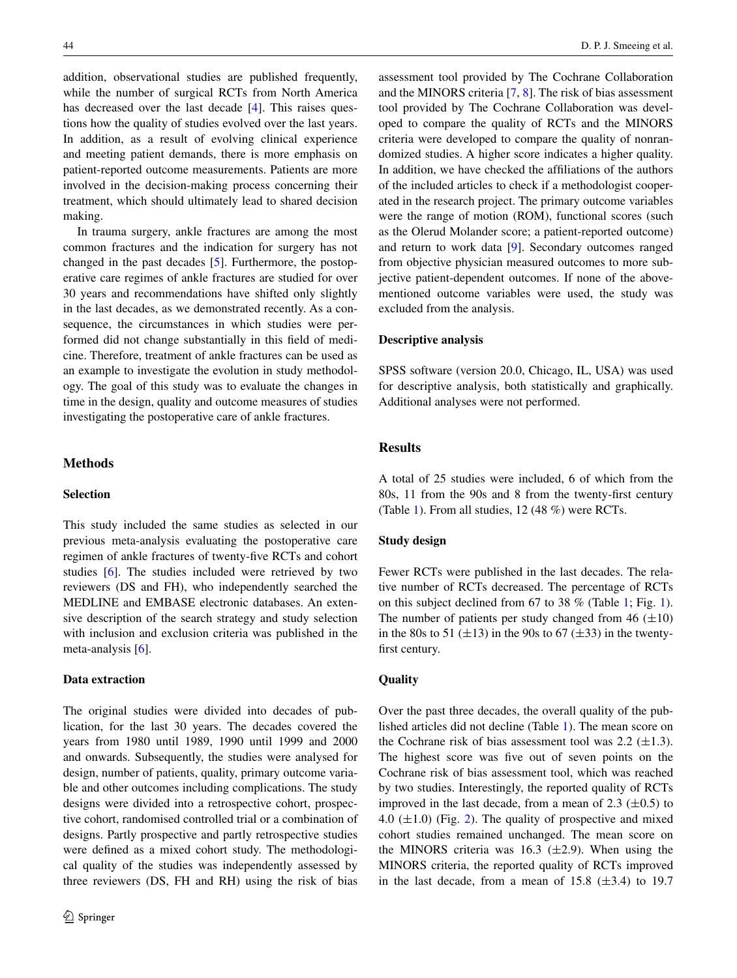addition, observational studies are published frequently, while the number of surgical RCTs from North America has decreased over the last decade [[4\]](#page-7-1). This raises questions how the quality of studies evolved over the last years. In addition, as a result of evolving clinical experience and meeting patient demands, there is more emphasis on patient-reported outcome measurements. Patients are more involved in the decision-making process concerning their treatment, which should ultimately lead to shared decision making.

In trauma surgery, ankle fractures are among the most common fractures and the indication for surgery has not changed in the past decades [\[5](#page-7-2)]. Furthermore, the postoperative care regimes of ankle fractures are studied for over 30 years and recommendations have shifted only slightly in the last decades, as we demonstrated recently. As a consequence, the circumstances in which studies were performed did not change substantially in this field of medicine. Therefore, treatment of ankle fractures can be used as an example to investigate the evolution in study methodology. The goal of this study was to evaluate the changes in time in the design, quality and outcome measures of studies investigating the postoperative care of ankle fractures.

## **Methods**

## **Selection**

This study included the same studies as selected in our previous meta-analysis evaluating the postoperative care regimen of ankle fractures of twenty-five RCTs and cohort studies [\[6](#page-7-3)]. The studies included were retrieved by two reviewers (DS and FH), who independently searched the MEDLINE and EMBASE electronic databases. An extensive description of the search strategy and study selection with inclusion and exclusion criteria was published in the meta-analysis [[6\]](#page-7-3).

## **Data extraction**

The original studies were divided into decades of publication, for the last 30 years. The decades covered the years from 1980 until 1989, 1990 until 1999 and 2000 and onwards. Subsequently, the studies were analysed for design, number of patients, quality, primary outcome variable and other outcomes including complications. The study designs were divided into a retrospective cohort, prospective cohort, randomised controlled trial or a combination of designs. Partly prospective and partly retrospective studies were defined as a mixed cohort study. The methodological quality of the studies was independently assessed by three reviewers (DS, FH and RH) using the risk of bias

assessment tool provided by The Cochrane Collaboration and the MINORS criteria [[7,](#page-7-4) [8\]](#page-7-5). The risk of bias assessment tool provided by The Cochrane Collaboration was developed to compare the quality of RCTs and the MINORS criteria were developed to compare the quality of nonrandomized studies. A higher score indicates a higher quality. In addition, we have checked the affiliations of the authors of the included articles to check if a methodologist cooperated in the research project. The primary outcome variables were the range of motion (ROM), functional scores (such as the Olerud Molander score; a patient-reported outcome) and return to work data [\[9](#page-7-6)]. Secondary outcomes ranged from objective physician measured outcomes to more subjective patient-dependent outcomes. If none of the abovementioned outcome variables were used, the study was excluded from the analysis.

#### **Descriptive analysis**

SPSS software (version 20.0, Chicago, IL, USA) was used for descriptive analysis, both statistically and graphically. Additional analyses were not performed.

## **Results**

A total of 25 studies were included, 6 of which from the 80s, 11 from the 90s and 8 from the twenty-first century (Table [1\)](#page-2-0). From all studies, 12 (48 %) were RCTs.

#### **Study design**

Fewer RCTs were published in the last decades. The relative number of RCTs decreased. The percentage of RCTs on this subject declined from 67 to 38 % (Table [1;](#page-2-0) Fig. [1](#page-3-0)). The number of patients per study changed from 46  $(\pm 10)$ in the 80s to 51  $(\pm 13)$  in the 90s to 67  $(\pm 33)$  in the twentyfirst century.

## **Quality**

Over the past three decades, the overall quality of the published articles did not decline (Table [1\)](#page-2-0). The mean score on the Cochrane risk of bias assessment tool was  $2.2$  ( $\pm$ 1.3). The highest score was five out of seven points on the Cochrane risk of bias assessment tool, which was reached by two studies. Interestingly, the reported quality of RCTs improved in the last decade, from a mean of 2.3  $(\pm 0.5)$  to 4.0  $(\pm 1.0)$  (Fig. [2](#page-3-1)). The quality of prospective and mixed cohort studies remained unchanged. The mean score on the MINORS criteria was 16.3  $(\pm 2.9)$ . When using the MINORS criteria, the reported quality of RCTs improved in the last decade, from a mean of  $15.8 \ (\pm 3.4)$  to  $19.7$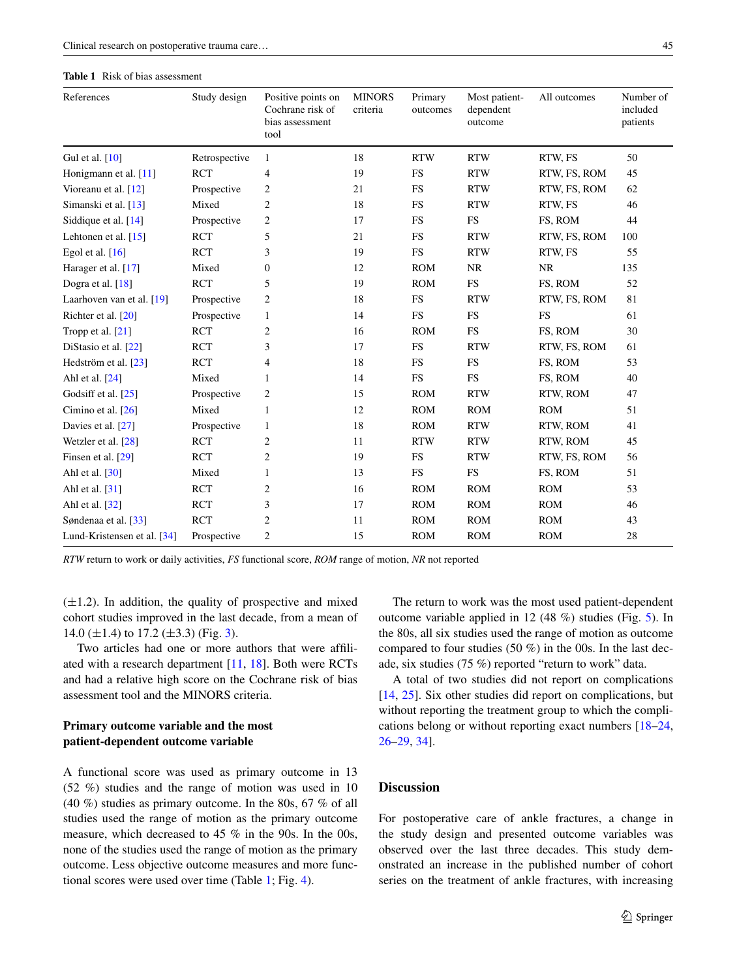| References                  | Study design  | Positive points on<br>Cochrane risk of<br>bias assessment<br>tool | <b>MINORS</b><br>criteria | Primary<br>outcomes | Most patient-<br>dependent<br>outcome | All outcomes | Number of<br>included<br>patients |
|-----------------------------|---------------|-------------------------------------------------------------------|---------------------------|---------------------|---------------------------------------|--------------|-----------------------------------|
| Gul et al. [10]             | Retrospective | $\mathbf{1}$                                                      | 18                        | <b>RTW</b>          | <b>RTW</b>                            | RTW, FS      | 50                                |
| Honigmann et al. $[11]$     | <b>RCT</b>    | 4                                                                 | 19                        | <b>FS</b>           | <b>RTW</b>                            | RTW, FS, ROM | 45                                |
| Vioreanu et al. $[12]$      | Prospective   | 2                                                                 | 21                        | <b>FS</b>           | <b>RTW</b>                            | RTW, FS, ROM | 62                                |
| Simanski et al. [13]        | Mixed         | 2                                                                 | 18                        | <b>FS</b>           | <b>RTW</b>                            | RTW, FS      | 46                                |
| Siddique et al. $[14]$      | Prospective   | 2                                                                 | 17                        | <b>FS</b>           | <b>FS</b>                             | FS, ROM      | 44                                |
| Lehtonen et al. $[15]$      | <b>RCT</b>    | 5                                                                 | 21                        | <b>FS</b>           | <b>RTW</b>                            | RTW, FS, ROM | 100                               |
| Egol et al. $[16]$          | <b>RCT</b>    | 3                                                                 | 19                        | <b>FS</b>           | <b>RTW</b>                            | RTW, FS      | 55                                |
| Harager et al. [17]         | Mixed         | $\mathbf{0}$                                                      | 12                        | <b>ROM</b>          | <b>NR</b>                             | NR           | 135                               |
| Dogra et al. $[18]$         | <b>RCT</b>    | 5                                                                 | 19                        | <b>ROM</b>          | <b>FS</b>                             | FS, ROM      | 52                                |
| Laarhoven van et al. [19]   | Prospective   | $\overline{c}$                                                    | 18                        | <b>FS</b>           | <b>RTW</b>                            | RTW, FS, ROM | 81                                |
| Richter et al. [20]         | Prospective   | 1                                                                 | 14                        | <b>FS</b>           | <b>FS</b>                             | <b>FS</b>    | 61                                |
| Tropp et al. $[21]$         | <b>RCT</b>    | $\overline{c}$                                                    | 16                        | <b>ROM</b>          | <b>FS</b>                             | FS, ROM      | 30                                |
| DiStasio et al. [22]        | <b>RCT</b>    | 3                                                                 | 17                        | <b>FS</b>           | <b>RTW</b>                            | RTW, FS, ROM | 61                                |
| Hedström et al. [23]        | <b>RCT</b>    | 4                                                                 | 18                        | <b>FS</b>           | <b>FS</b>                             | FS, ROM      | 53                                |
| Ahl et al. [24]             | Mixed         | 1                                                                 | 14                        | <b>FS</b>           | <b>FS</b>                             | FS, ROM      | 40                                |
| Godsiff et al. [25]         | Prospective   | $\overline{c}$                                                    | 15                        | <b>ROM</b>          | <b>RTW</b>                            | RTW, ROM     | 47                                |
| Cimino et al. $[26]$        | Mixed         | 1                                                                 | 12                        | <b>ROM</b>          | <b>ROM</b>                            | <b>ROM</b>   | 51                                |
| Davies et al. [27]          | Prospective   | $\mathbf{1}$                                                      | 18                        | <b>ROM</b>          | <b>RTW</b>                            | RTW, ROM     | 41                                |
| Wetzler et al. [28]         | <b>RCT</b>    | 2                                                                 | 11                        | <b>RTW</b>          | <b>RTW</b>                            | RTW, ROM     | 45                                |
| Finsen et al. [29]          | <b>RCT</b>    | 2                                                                 | 19                        | <b>FS</b>           | <b>RTW</b>                            | RTW, FS, ROM | 56                                |
| Ahl et al. [30]             | Mixed         | 1                                                                 | 13                        | <b>FS</b>           | <b>FS</b>                             | FS, ROM      | 51                                |
| Ahl et al. [31]             | <b>RCT</b>    | $\overline{c}$                                                    | 16                        | <b>ROM</b>          | <b>ROM</b>                            | <b>ROM</b>   | 53                                |
| Ahl et al. [32]             | <b>RCT</b>    | 3                                                                 | 17                        | <b>ROM</b>          | <b>ROM</b>                            | <b>ROM</b>   | 46                                |
| Søndenaa et al. [33]        | <b>RCT</b>    | $\overline{2}$                                                    | 11                        | <b>ROM</b>          | <b>ROM</b>                            | <b>ROM</b>   | 43                                |
| Lund-Kristensen et al. [34] | Prospective   | $\overline{c}$                                                    | 15                        | <b>ROM</b>          | <b>ROM</b>                            | <b>ROM</b>   | 28                                |

#### <span id="page-2-0"></span>**Table 1** Risk of bias assessment

*RTW* return to work or daily activities, *FS* functional score, *ROM* range of motion, *NR* not reported

 $(\pm 1.2)$ . In addition, the quality of prospective and mixed cohort studies improved in the last decade, from a mean of 14.0 ( $\pm$ 1.4) to 17.2 ( $\pm$ 3.[3\)](#page-4-0) (Fig. 3).

Two articles had one or more authors that were affiliated with a research department [[11,](#page-7-7) [18](#page-7-8)]. Both were RCTs and had a relative high score on the Cochrane risk of bias assessment tool and the MINORS criteria.

# **Primary outcome variable and the most patient‑dependent outcome variable**

A functional score was used as primary outcome in 13 (52 %) studies and the range of motion was used in 10 (40 %) studies as primary outcome. In the 80s, 67 % of all studies used the range of motion as the primary outcome measure, which decreased to 45 % in the 90s. In the 00s, none of the studies used the range of motion as the primary outcome. Less objective outcome measures and more functional scores were used over time (Table [1;](#page-2-0) Fig. [4](#page-5-0)).

The return to work was the most used patient-dependent outcome variable applied in 12 (48 %) studies (Fig. [5\)](#page-5-1). In the 80s, all six studies used the range of motion as outcome compared to four studies  $(50 \%)$  in the 00s. In the last decade, six studies (75 %) reported "return to work" data.

A total of two studies did not report on complications [\[14](#page-7-9), [25\]](#page-7-10). Six other studies did report on complications, but without reporting the treatment group to which the complications belong or without reporting exact numbers [[18–](#page-7-8)[24,](#page-7-11) [26](#page-7-12)[–29](#page-7-13), [34](#page-7-14)].

# **Discussion**

For postoperative care of ankle fractures, a change in the study design and presented outcome variables was observed over the last three decades. This study demonstrated an increase in the published number of cohort series on the treatment of ankle fractures, with increasing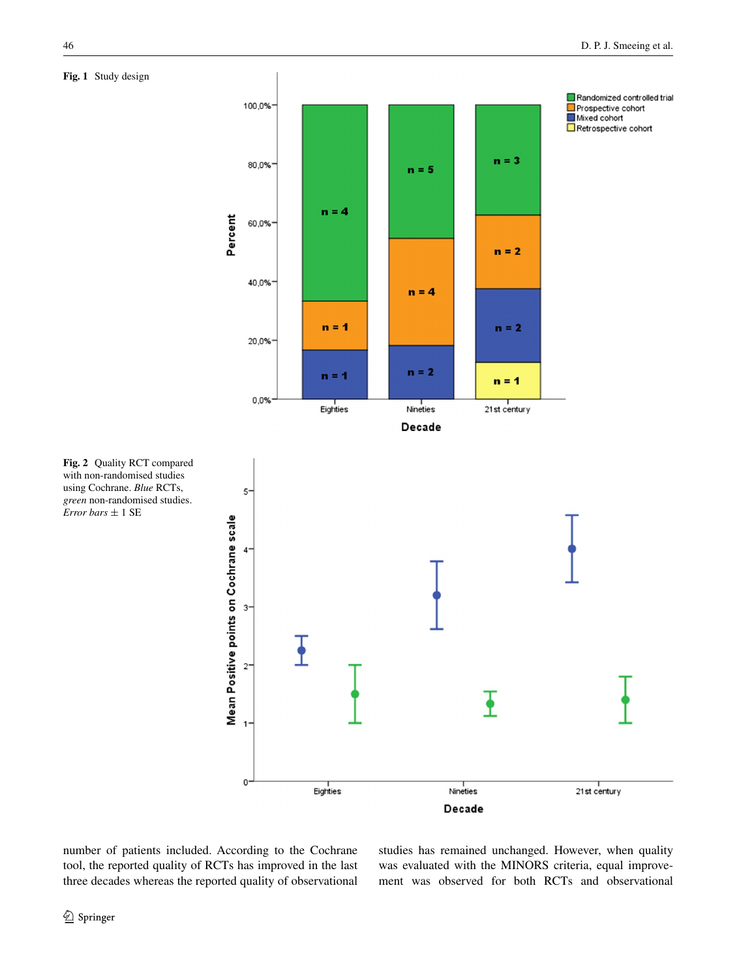<span id="page-3-0"></span>

<span id="page-3-1"></span>**Fig. 2** Quality RCT compared with non-randomised studies using Cochrane. *Blue* RCTs, *green* non-randomised studies. *Error bars* ± 1 SE

number of patients included. According to the Cochrane tool, the reported quality of RCTs has improved in the last three decades whereas the reported quality of observational studies has remained unchanged. However, when quality was evaluated with the MINORS criteria, equal improvement was observed for both RCTs and observational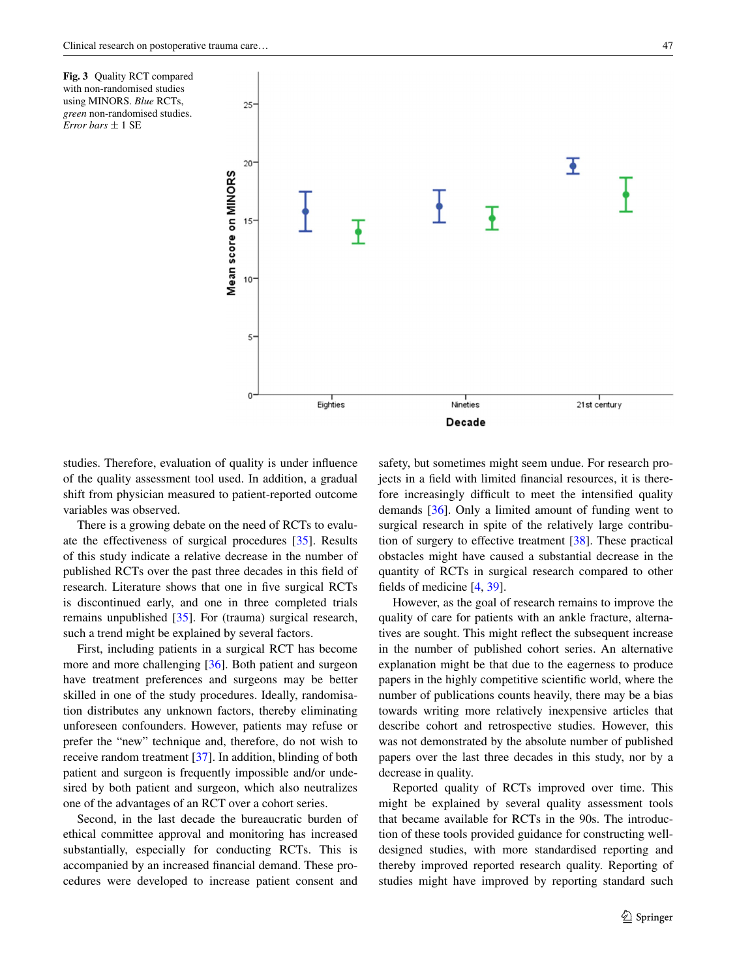<span id="page-4-0"></span>

studies. Therefore, evaluation of quality is under influence of the quality assessment tool used. In addition, a gradual shift from physician measured to patient-reported outcome variables was observed.

There is a growing debate on the need of RCTs to evaluate the effectiveness of surgical procedures [[35\]](#page-7-32). Results of this study indicate a relative decrease in the number of published RCTs over the past three decades in this field of research. Literature shows that one in five surgical RCTs is discontinued early, and one in three completed trials remains unpublished [[35\]](#page-7-32). For (trauma) surgical research, such a trend might be explained by several factors.

First, including patients in a surgical RCT has become more and more challenging [[36\]](#page-7-33). Both patient and surgeon have treatment preferences and surgeons may be better skilled in one of the study procedures. Ideally, randomisation distributes any unknown factors, thereby eliminating unforeseen confounders. However, patients may refuse or prefer the "new" technique and, therefore, do not wish to receive random treatment [\[37](#page-7-34)]. In addition, blinding of both patient and surgeon is frequently impossible and/or undesired by both patient and surgeon, which also neutralizes one of the advantages of an RCT over a cohort series.

Second, in the last decade the bureaucratic burden of ethical committee approval and monitoring has increased substantially, especially for conducting RCTs. This is accompanied by an increased financial demand. These procedures were developed to increase patient consent and safety, but sometimes might seem undue. For research projects in a field with limited financial resources, it is therefore increasingly difficult to meet the intensified quality demands [[36\]](#page-7-33). Only a limited amount of funding went to surgical research in spite of the relatively large contribution of surgery to effective treatment [\[38](#page-7-35)]. These practical obstacles might have caused a substantial decrease in the quantity of RCTs in surgical research compared to other fields of medicine [[4,](#page-7-1) [39\]](#page-7-36).

However, as the goal of research remains to improve the quality of care for patients with an ankle fracture, alternatives are sought. This might reflect the subsequent increase in the number of published cohort series. An alternative explanation might be that due to the eagerness to produce papers in the highly competitive scientific world, where the number of publications counts heavily, there may be a bias towards writing more relatively inexpensive articles that describe cohort and retrospective studies. However, this was not demonstrated by the absolute number of published papers over the last three decades in this study, nor by a decrease in quality.

Reported quality of RCTs improved over time. This might be explained by several quality assessment tools that became available for RCTs in the 90s. The introduction of these tools provided guidance for constructing welldesigned studies, with more standardised reporting and thereby improved reported research quality. Reporting of studies might have improved by reporting standard such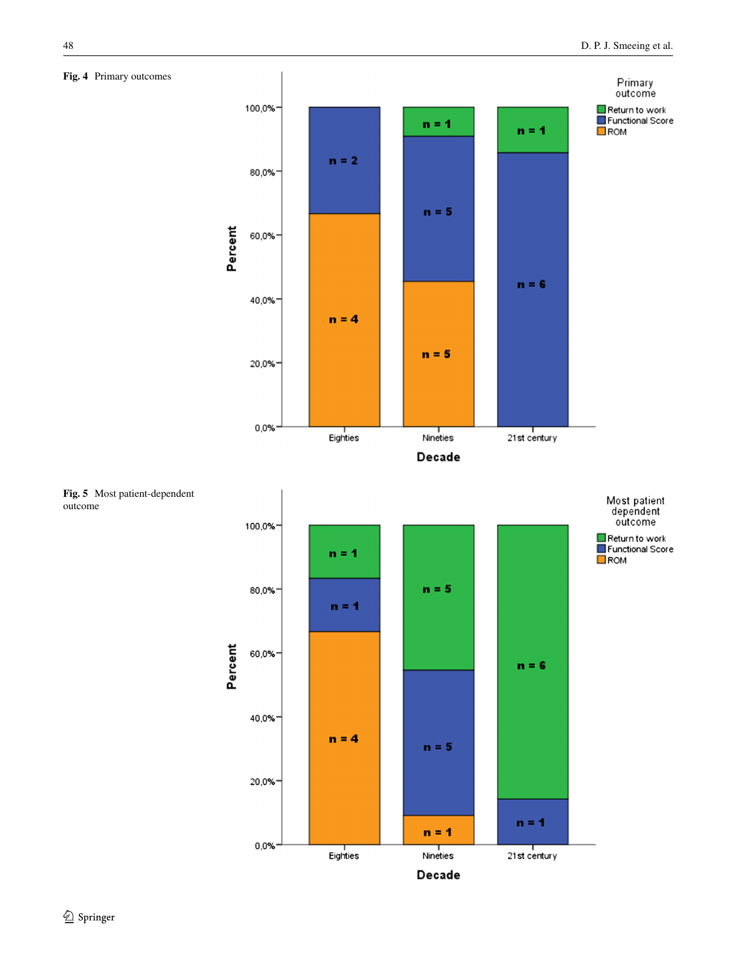<span id="page-5-0"></span>

<span id="page-5-1"></span>

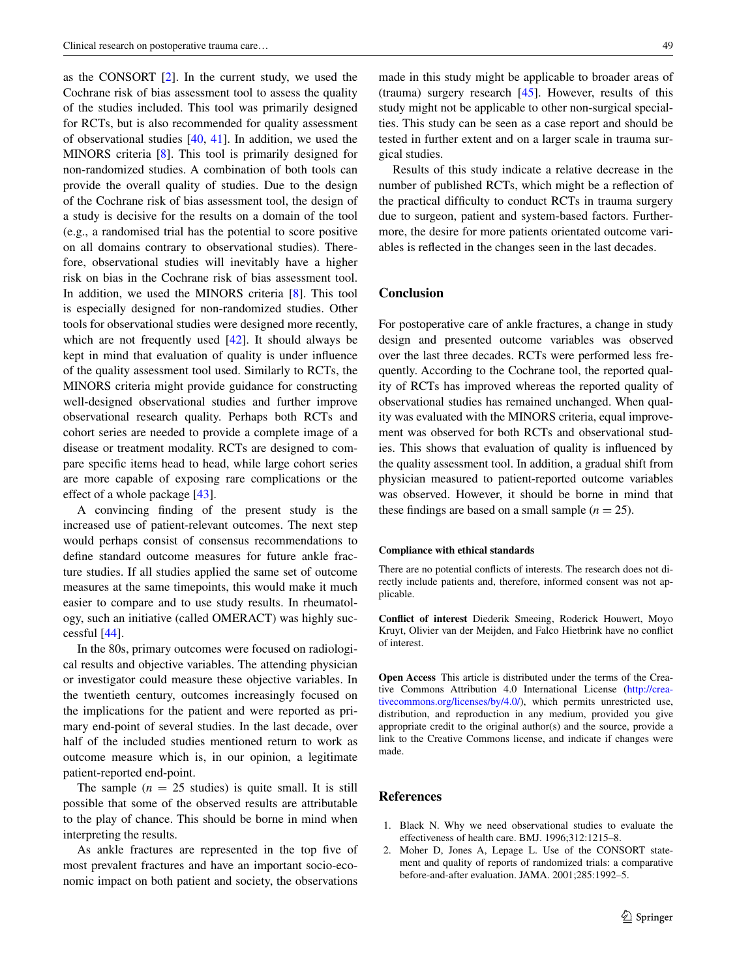as the CONSORT [[2\]](#page-6-1). In the current study, we used the Cochrane risk of bias assessment tool to assess the quality of the studies included. This tool was primarily designed for RCTs, but is also recommended for quality assessment of observational studies [\[40](#page-7-37), [41](#page-7-38)]. In addition, we used the MINORS criteria [[8\]](#page-7-5). This tool is primarily designed for non-randomized studies. A combination of both tools can provide the overall quality of studies. Due to the design of the Cochrane risk of bias assessment tool, the design of a study is decisive for the results on a domain of the tool (e.g., a randomised trial has the potential to score positive on all domains contrary to observational studies). Therefore, observational studies will inevitably have a higher risk on bias in the Cochrane risk of bias assessment tool. In addition, we used the MINORS criteria [[8\]](#page-7-5). This tool is especially designed for non-randomized studies. Other tools for observational studies were designed more recently, which are not frequently used [[42\]](#page-7-39). It should always be kept in mind that evaluation of quality is under influence of the quality assessment tool used. Similarly to RCTs, the MINORS criteria might provide guidance for constructing well-designed observational studies and further improve observational research quality. Perhaps both RCTs and cohort series are needed to provide a complete image of a disease or treatment modality. RCTs are designed to compare specific items head to head, while large cohort series are more capable of exposing rare complications or the effect of a whole package [\[43](#page-8-0)].

A convincing finding of the present study is the increased use of patient-relevant outcomes. The next step would perhaps consist of consensus recommendations to define standard outcome measures for future ankle fracture studies. If all studies applied the same set of outcome measures at the same timepoints, this would make it much easier to compare and to use study results. In rheumatology, such an initiative (called OMERACT) was highly successful [[44\]](#page-8-1).

In the 80s, primary outcomes were focused on radiological results and objective variables. The attending physician or investigator could measure these objective variables. In the twentieth century, outcomes increasingly focused on the implications for the patient and were reported as primary end-point of several studies. In the last decade, over half of the included studies mentioned return to work as outcome measure which is, in our opinion, a legitimate patient-reported end-point.

The sample  $(n = 25$  studies) is quite small. It is still possible that some of the observed results are attributable to the play of chance. This should be borne in mind when interpreting the results.

As ankle fractures are represented in the top five of most prevalent fractures and have an important socio-economic impact on both patient and society, the observations made in this study might be applicable to broader areas of (trauma) surgery research [[45\]](#page-8-2). However, results of this study might not be applicable to other non-surgical specialties. This study can be seen as a case report and should be tested in further extent and on a larger scale in trauma surgical studies.

Results of this study indicate a relative decrease in the number of published RCTs, which might be a reflection of the practical difficulty to conduct RCTs in trauma surgery due to surgeon, patient and system-based factors. Furthermore, the desire for more patients orientated outcome variables is reflected in the changes seen in the last decades.

## **Conclusion**

For postoperative care of ankle fractures, a change in study design and presented outcome variables was observed over the last three decades. RCTs were performed less frequently. According to the Cochrane tool, the reported quality of RCTs has improved whereas the reported quality of observational studies has remained unchanged. When quality was evaluated with the MINORS criteria, equal improvement was observed for both RCTs and observational studies. This shows that evaluation of quality is influenced by the quality assessment tool. In addition, a gradual shift from physician measured to patient-reported outcome variables was observed. However, it should be borne in mind that these findings are based on a small sample  $(n = 25)$ .

#### **Compliance with ethical standards**

There are no potential conflicts of interests. The research does not directly include patients and, therefore, informed consent was not applicable.

**Conflict of interest** Diederik Smeeing, Roderick Houwert, Moyo Kruyt, Olivier van der Meijden, and Falco Hietbrink have no conflict of interest.

**Open Access** This article is distributed under the terms of the Creative Commons Attribution 4.0 International License ([http://crea](http://creativecommons.org/licenses/by/4.0/)[tivecommons.org/licenses/by/4.0/](http://creativecommons.org/licenses/by/4.0/)), which permits unrestricted use, distribution, and reproduction in any medium, provided you give appropriate credit to the original author(s) and the source, provide a link to the Creative Commons license, and indicate if changes were made.

## **References**

- <span id="page-6-0"></span>1. Black N. Why we need observational studies to evaluate the effectiveness of health care. BMJ. 1996;312:1215–8.
- <span id="page-6-1"></span>2. Moher D, Jones A, Lepage L. Use of the CONSORT statement and quality of reports of randomized trials: a comparative before-and-after evaluation. JAMA. 2001;285:1992–5.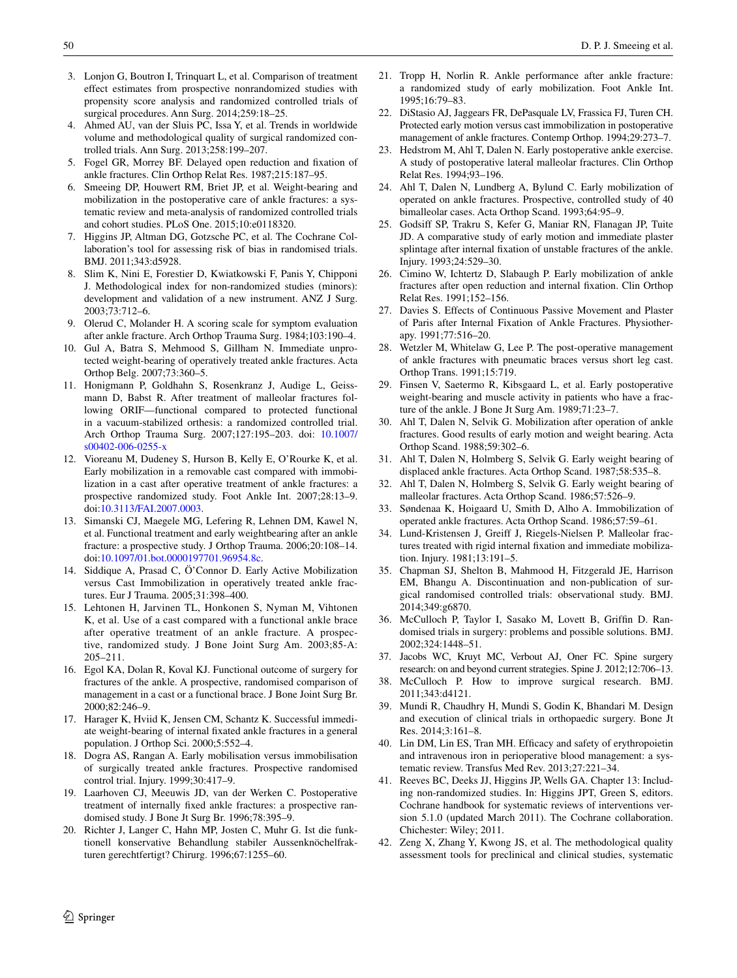- <span id="page-7-0"></span>3. Lonjon G, Boutron I, Trinquart L, et al. Comparison of treatment effect estimates from prospective nonrandomized studies with propensity score analysis and randomized controlled trials of surgical procedures. Ann Surg. 2014;259:18–25.
- <span id="page-7-1"></span>4. Ahmed AU, van der Sluis PC, Issa Y, et al. Trends in worldwide volume and methodological quality of surgical randomized controlled trials. Ann Surg. 2013;258:199–207.
- <span id="page-7-2"></span>5. Fogel GR, Morrey BF. Delayed open reduction and fixation of ankle fractures. Clin Orthop Relat Res. 1987;215:187–95.
- <span id="page-7-3"></span>6. Smeeing DP, Houwert RM, Briet JP, et al. Weight-bearing and mobilization in the postoperative care of ankle fractures: a systematic review and meta-analysis of randomized controlled trials and cohort studies. PLoS One. 2015;10:e0118320.
- <span id="page-7-4"></span>7. Higgins JP, Altman DG, Gotzsche PC, et al. The Cochrane Collaboration's tool for assessing risk of bias in randomised trials. BMJ. 2011;343:d5928.
- <span id="page-7-5"></span>8. Slim K, Nini E, Forestier D, Kwiatkowski F, Panis Y, Chipponi J. Methodological index for non-randomized studies (minors): development and validation of a new instrument. ANZ J Surg. 2003;73:712–6.
- <span id="page-7-6"></span>9. Olerud C, Molander H. A scoring scale for symptom evaluation after ankle fracture. Arch Orthop Trauma Surg. 1984;103:190–4.
- <span id="page-7-15"></span>10. Gul A, Batra S, Mehmood S, Gillham N. Immediate unprotected weight-bearing of operatively treated ankle fractures. Acta Orthop Belg. 2007;73:360–5.
- <span id="page-7-7"></span>11. Honigmann P, Goldhahn S, Rosenkranz J, Audige L, Geissmann D, Babst R. After treatment of malleolar fractures following ORIF—functional compared to protected functional in a vacuum-stabilized orthesis: a randomized controlled trial. Arch Orthop Trauma Surg. 2007;127:195–203. doi: [10.1007/](http://dx.doi.org/10.1007/s00402-006-0255-x) [s00402-006-0255-x](http://dx.doi.org/10.1007/s00402-006-0255-x)
- <span id="page-7-16"></span>12. Vioreanu M, Dudeney S, Hurson B, Kelly E, O'Rourke K, et al. Early mobilization in a removable cast compared with immobilization in a cast after operative treatment of ankle fractures: a prospective randomized study. Foot Ankle Int. 2007;28:13–9. doi[:10.3113/FAI.2007.0003.](http://dx.doi.org/10.3113/FAI.2007.0003)
- <span id="page-7-17"></span>13. Simanski CJ, Maegele MG, Lefering R, Lehnen DM, Kawel N, et al. Functional treatment and early weightbearing after an ankle fracture: a prospective study. J Orthop Trauma. 2006;20:108–14. doi[:10.1097/01.bot.0000197701.96954.8c.](http://dx.doi.org/10.1097/01.bot.0000197701.96954.8c)
- <span id="page-7-9"></span>14. Siddique A, Prasad C, Ö'Connor D. Early Active Mobilization versus Cast Immobilization in operatively treated ankle fractures. Eur J Trauma. 2005;31:398–400.
- <span id="page-7-18"></span>15. Lehtonen H, Jarvinen TL, Honkonen S, Nyman M, Vihtonen K, et al. Use of a cast compared with a functional ankle brace after operative treatment of an ankle fracture. A prospective, randomized study. J Bone Joint Surg Am. 2003;85-A: 205–211.
- <span id="page-7-19"></span>16. Egol KA, Dolan R, Koval KJ. Functional outcome of surgery for fractures of the ankle. A prospective, randomised comparison of management in a cast or a functional brace. J Bone Joint Surg Br. 2000;82:246–9.
- <span id="page-7-20"></span>17. Harager K, Hviid K, Jensen CM, Schantz K. Successful immediate weight-bearing of internal fixated ankle fractures in a general population. J Orthop Sci. 2000;5:552–4.
- <span id="page-7-8"></span>18. Dogra AS, Rangan A. Early mobilisation versus immobilisation of surgically treated ankle fractures. Prospective randomised control trial. Injury. 1999;30:417–9.
- <span id="page-7-21"></span>19. Laarhoven CJ, Meeuwis JD, van der Werken C. Postoperative treatment of internally fixed ankle fractures: a prospective randomised study. J Bone Jt Surg Br. 1996;78:395–9.
- <span id="page-7-22"></span>20. Richter J, Langer C, Hahn MP, Josten C, Muhr G. Ist die funktionell konservative Behandlung stabiler Aussenknöchelfrakturen gerechtfertigt? Chirurg. 1996;67:1255–60.
- <span id="page-7-23"></span>21. Tropp H, Norlin R. Ankle performance after ankle fracture: a randomized study of early mobilization. Foot Ankle Int. 1995;16:79–83.
- <span id="page-7-24"></span>22. DiStasio AJ, Jaggears FR, DePasquale LV, Frassica FJ, Turen CH. Protected early motion versus cast immobilization in postoperative management of ankle fractures. Contemp Orthop. 1994;29:273–7.
- <span id="page-7-25"></span>23. Hedstrom M, Ahl T, Dalen N. Early postoperative ankle exercise. A study of postoperative lateral malleolar fractures. Clin Orthop Relat Res. 1994;93–196.
- <span id="page-7-11"></span>24. Ahl T, Dalen N, Lundberg A, Bylund C. Early mobilization of operated on ankle fractures. Prospective, controlled study of 40 bimalleolar cases. Acta Orthop Scand. 1993;64:95–9.
- <span id="page-7-10"></span>25. Godsiff SP, Trakru S, Kefer G, Maniar RN, Flanagan JP, Tuite JD. A comparative study of early motion and immediate plaster splintage after internal fixation of unstable fractures of the ankle. Injury. 1993;24:529–30.
- <span id="page-7-12"></span>26. Cimino W, Ichtertz D, Slabaugh P. Early mobilization of ankle fractures after open reduction and internal fixation. Clin Orthop Relat Res. 1991;152–156.
- <span id="page-7-26"></span>27. Davies S. Effects of Continuous Passive Movement and Plaster of Paris after Internal Fixation of Ankle Fractures. Physiotherapy. 1991;77:516–20.
- <span id="page-7-27"></span>28. Wetzler M, Whitelaw G, Lee P. The post-operative management of ankle fractures with pneumatic braces versus short leg cast. Orthop Trans. 1991;15:719.
- <span id="page-7-13"></span>29. Finsen V, Saetermo R, Kibsgaard L, et al. Early postoperative weight-bearing and muscle activity in patients who have a fracture of the ankle. J Bone Jt Surg Am. 1989;71:23–7.
- <span id="page-7-28"></span>30. Ahl T, Dalen N, Selvik G. Mobilization after operation of ankle fractures. Good results of early motion and weight bearing. Acta Orthop Scand. 1988;59:302–6.
- <span id="page-7-29"></span>31. Ahl T, Dalen N, Holmberg S, Selvik G. Early weight bearing of displaced ankle fractures. Acta Orthop Scand. 1987;58:535–8.
- <span id="page-7-30"></span>32. Ahl T, Dalen N, Holmberg S, Selvik G. Early weight bearing of malleolar fractures. Acta Orthop Scand. 1986;57:526–9.
- <span id="page-7-31"></span>33. Søndenaa K, Hoigaard U, Smith D, Alho A. Immobilization of operated ankle fractures. Acta Orthop Scand. 1986;57:59–61.
- <span id="page-7-14"></span>34. Lund-Kristensen J, Greiff J, Riegels-Nielsen P. Malleolar fractures treated with rigid internal fixation and immediate mobilization. Injury. 1981;13:191–5.
- <span id="page-7-32"></span>35. Chapman SJ, Shelton B, Mahmood H, Fitzgerald JE, Harrison EM, Bhangu A. Discontinuation and non-publication of surgical randomised controlled trials: observational study. BMJ. 2014;349:g6870.
- <span id="page-7-33"></span>36. McCulloch P, Taylor I, Sasako M, Lovett B, Griffin D. Randomised trials in surgery: problems and possible solutions. BMJ. 2002;324:1448–51.
- <span id="page-7-34"></span>37. Jacobs WC, Kruyt MC, Verbout AJ, Oner FC. Spine surgery research: on and beyond current strategies. Spine J. 2012;12:706–13.
- <span id="page-7-35"></span>38. McCulloch P. How to improve surgical research. BMJ. 2011;343:d4121.
- <span id="page-7-36"></span>39. Mundi R, Chaudhry H, Mundi S, Godin K, Bhandari M. Design and execution of clinical trials in orthopaedic surgery. Bone Jt Res. 2014;3:161–8.
- <span id="page-7-37"></span>40. Lin DM, Lin ES, Tran MH. Efficacy and safety of erythropoietin and intravenous iron in perioperative blood management: a systematic review. Transfus Med Rev. 2013;27:221–34.
- <span id="page-7-38"></span>41. Reeves BC, Deeks JJ, Higgins JP, Wells GA. Chapter 13: Including non-randomized studies. In: Higgins JPT, Green S, editors. Cochrane handbook for systematic reviews of interventions version 5.1.0 (updated March 2011). The Cochrane collaboration. Chichester: Wiley; 2011.
- <span id="page-7-39"></span>42. Zeng X, Zhang Y, Kwong JS, et al. The methodological quality assessment tools for preclinical and clinical studies, systematic